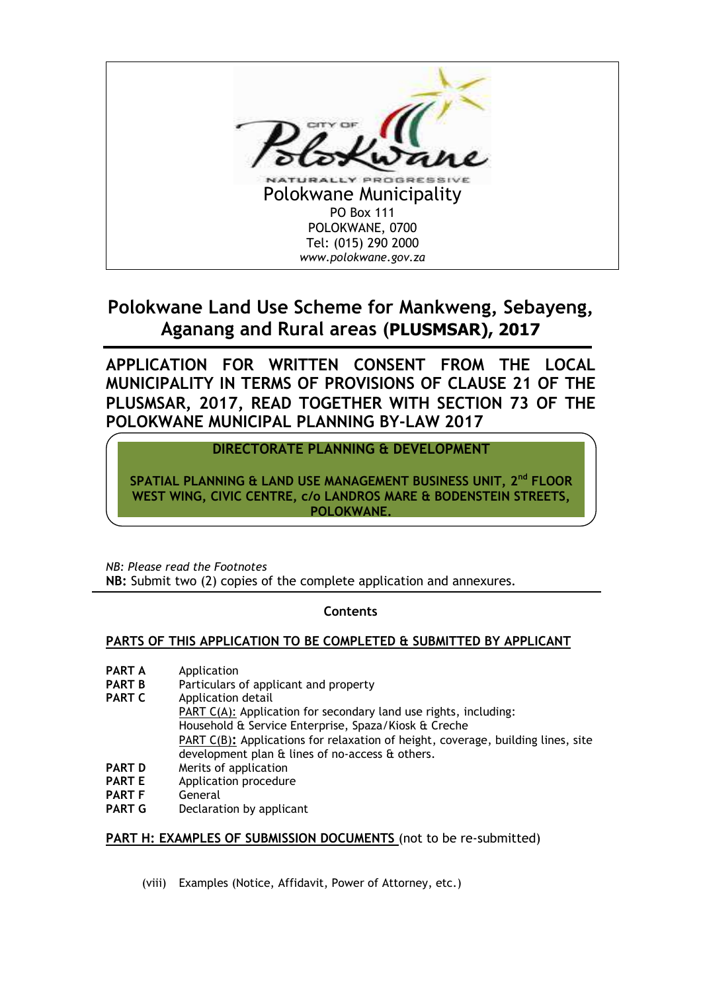

# **Polokwane Land Use Scheme for Mankweng, Sebayeng, Aganang and Rural areas (PLUSMSAR), 2017**

**APPLICATION FOR WRITTEN CONSENT FROM THE LOCAL MUNICIPALITY IN TERMS OF PROVISIONS OF CLAUSE 21 OF THE PLUSMSAR, 2017, READ TOGETHER WITH SECTION 73 OF THE POLOKWANE MUNICIPAL PLANNING BY-LAW 2017** 

## **DIRECTORATE PLANNING & DEVELOPMENT**

**SPATIAL PLANNING & LAND USE MANAGEMENT BUSINESS UNIT, 2nd FLOOR WEST WING, CIVIC CENTRE, c/o LANDROS MARE & BODENSTEIN STREETS, POLOKWANE.**

*NB: Please read the Footnotes*  **NB:** Submit two (2) copies of the complete application and annexures.

## **Contents**

## **PARTS OF THIS APPLICATION TO BE COMPLETED & SUBMITTED BY APPLICANT**

- **PART A** Application
- **PART B** Particulars of applicant and property
- **PART C** Application detail PART C(A): Application for secondary land use rights, including: Household & Service Enterprise, Spaza/Kiosk & Creche PART C(B)**:** Applications for relaxation of height, coverage, building lines, site development plan & lines of no-access & others.
- **PART D** Merits of application
- **PART E** Application procedure<br>**PART F** General
- **PART F** General<br>**PART G** Declarat
- **Peclaration by applicant**

## **PART H: EXAMPLES OF SUBMISSION DOCUMENTS** (not to be re-submitted)

(viii) Examples (Notice, Affidavit, Power of Attorney, etc.)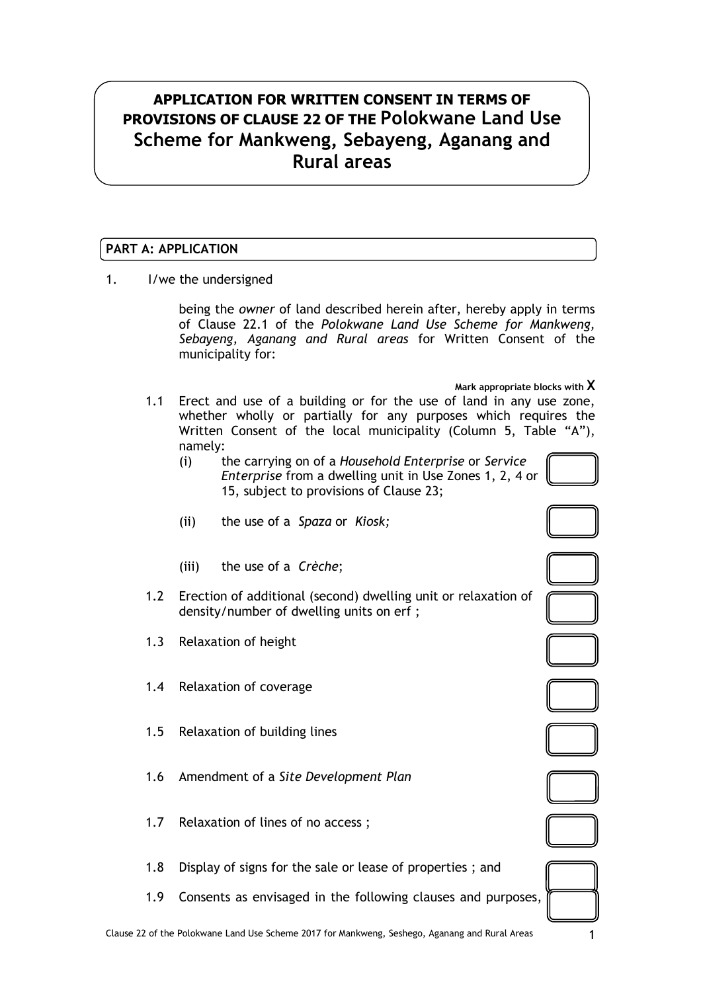## **APPLICATION FOR WRITTEN CONSENT IN TERMS OF PROVISIONS OF CLAUSE 22 OF THE Polokwane Land Use Scheme for Mankweng, Sebayeng, Aganang and Rural areas**

## **PART A: APPLICATION**

1. I/we the undersigned

being the *owner* of land described herein after, hereby apply in terms of Clause 22.1 of the *Polokwane Land Use Scheme for Mankweng, Sebayeng, Aganang and Rural areas* for Written Consent of the municipality for:

**Mark appropriate blocks with X**

- 1.1 Erect and use of a building or for the use of land in any use zone, whether wholly or partially for any purposes which requires the Written Consent of the local municipality (Column 5, Table "A"), namely:
	- (i) the carrying on of a *Household Enterprise* or *Service Enterprise* from a dwelling unit in Use Zones 1, 2, 4 or 15, subject to provisions of Clause 23;



- (ii) the use of a *Spaza* or *Kiosk;*
- (iii) the use of a *Crèche*;
- 1.2 Erection of additional (second) dwelling unit or relaxation of density/number of dwelling units on erf ;
- 1.3 Relaxation of height
- 1.4 Relaxation of coverage
- 1.5 Relaxation of building lines
- 1.6 Amendment of a *Site Development Plan*
- 1.7 Relaxation of lines of no access ;
- 1.8 Display of signs for the sale or lease of properties ; and
- 1.9 Consents as envisaged in the following clauses and purposes,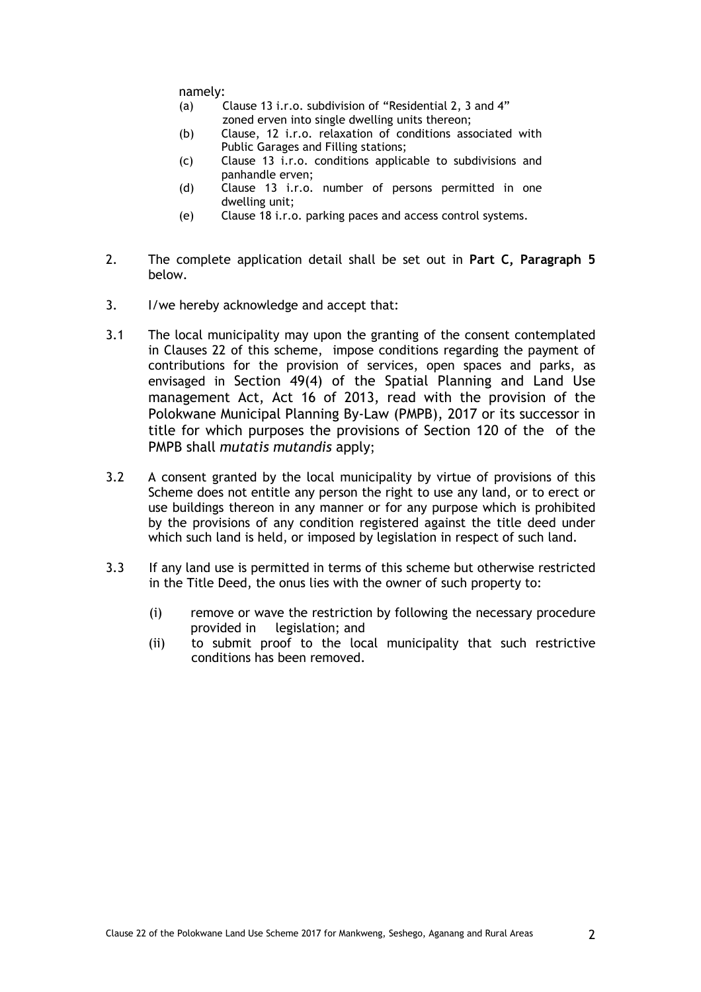namely:

- (a) Clause 13 i.r.o. subdivision of "Residential 2, 3 and 4" zoned erven into single dwelling units thereon;
- (b) Clause, 12 i.r.o. relaxation of conditions associated with Public Garages and Filling stations;
- (c) Clause 13 i.r.o. conditions applicable to subdivisions and panhandle erven;
- (d) Clause 13 i.r.o. number of persons permitted in one dwelling unit;
- (e) Clause 18 i.r.o. parking paces and access control systems.
- 2. The complete application detail shall be set out in **Part C, Paragraph 5** below.
- 3. I/we hereby acknowledge and accept that:
- 3.1 The local municipality may upon the granting of the consent contemplated in Clauses 22 of this scheme, impose conditions regarding the payment of contributions for the provision of services, open spaces and parks, as envisaged in Section 49(4) of the Spatial Planning and Land Use management Act, Act 16 of 2013, read with the provision of the Polokwane Municipal Planning By-Law (PMPB), 2017 or its successor in title for which purposes the provisions of Section 120 of the of the PMPB shall *mutatis mutandis* apply;
- 3.2 A consent granted by the local municipality by virtue of provisions of this Scheme does not entitle any person the right to use any land, or to erect or use buildings thereon in any manner or for any purpose which is prohibited by the provisions of any condition registered against the title deed under which such land is held, or imposed by legislation in respect of such land.
- 3.3 If any land use is permitted in terms of this scheme but otherwise restricted in the Title Deed, the onus lies with the owner of such property to:
	- (i) remove or wave the restriction by following the necessary procedure provided in legislation; and
	- (ii) to submit proof to the local municipality that such restrictive conditions has been removed.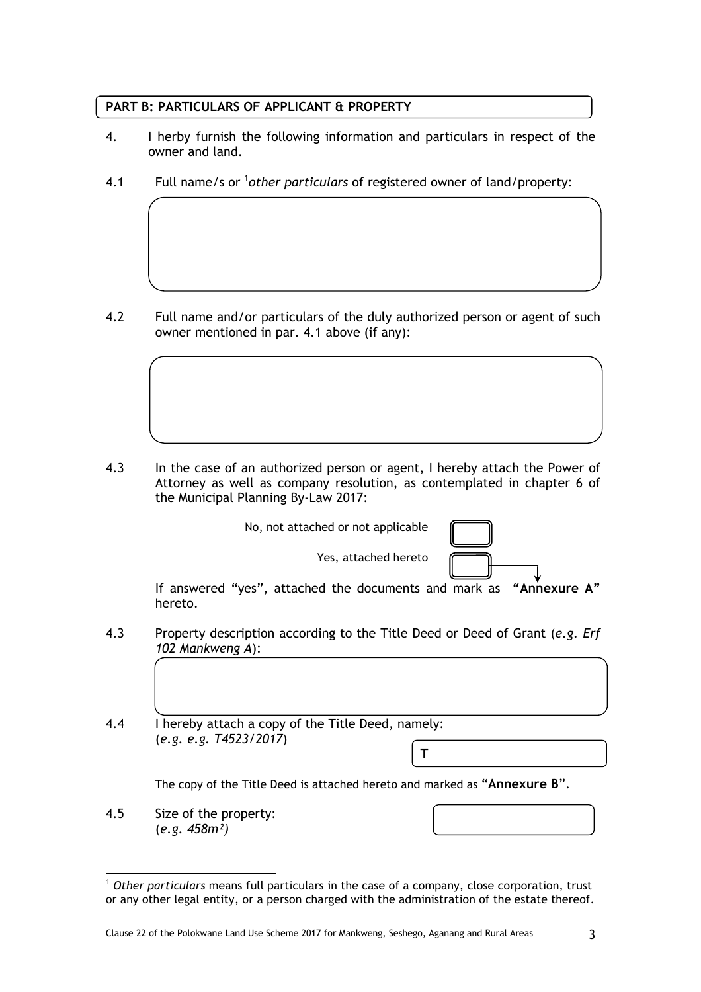## **PART B: PARTICULARS OF APPLICANT & PROPERTY**

- 4. I herby furnish the following information and particulars in respect of the owner and land.
- 4.1 Full name/s or <sup>1</sup>other particulars of registered owner of land/property:

4.2 Full name and/or particulars of the duly authorized person or agent of such owner mentioned in par. 4.1 above (if any):

4.3 In the case of an authorized person or agent, I hereby attach the Power of Attorney as well as company resolution, as contemplated in chapter 6 of the Municipal Planning By-Law 2017:

No, not attached or not applicable

| $\overline{\phantom{a}}$ |        |
|--------------------------|--------|
|                          |        |
|                          | ł<br>, |

If answered "yes", attached the documents and mark as **"Annexure A"** hereto.

Yes, attached hereto

- 4.3 Property description according to the Title Deed or Deed of Grant (*e.g. Erf 102 Mankweng A*):
- 4.4 I hereby attach a copy of the Title Deed, namely: (*e.g. e.g. T4523/2017*) **T**

The copy of the Title Deed is attached hereto and marked as "**Annexure B**".

4.5 Size of the property: (*e.g. 458m²)*

 <sup>1</sup> *Other particulars* means full particulars in the case of a company, close corporation, trust or any other legal entity, or a person charged with the administration of the estate thereof.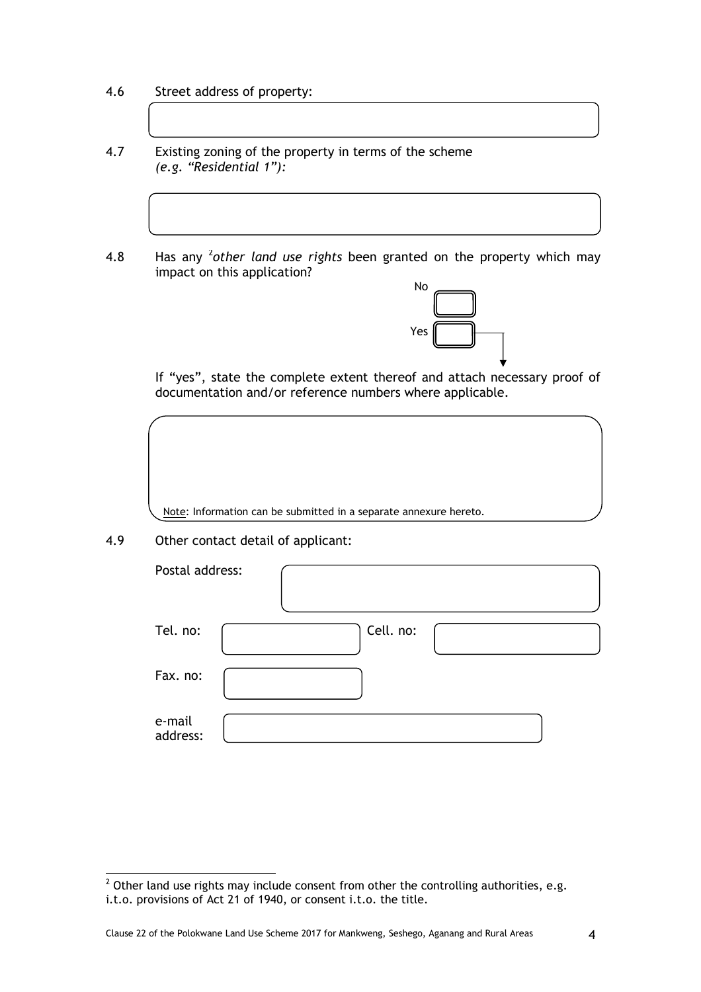- 4.6 Street address of property:
- 4.7 Existing zoning of the property in terms of the scheme *(e.g. "Residential 1"):*
- 4.8 Has any <sup>2</sup>other land use rights been granted on the property which may impact on this application?



If "yes", state the complete extent thereof and attach necessary proof of documentation and/or reference numbers where applicable.

Note: Information can be submitted in a separate annexure hereto.

4.9 Other contact detail of applicant:

| Postal address:    |           |
|--------------------|-----------|
| Tel. no:           | Cell. no: |
| Fax. no:           |           |
| e-mail<br>address: |           |

 $\frac{1}{2}$  Other land use rights may include consent from other the controlling authorities, e.g. i.t.o. provisions of Act 21 of 1940, or consent i.t.o. the title.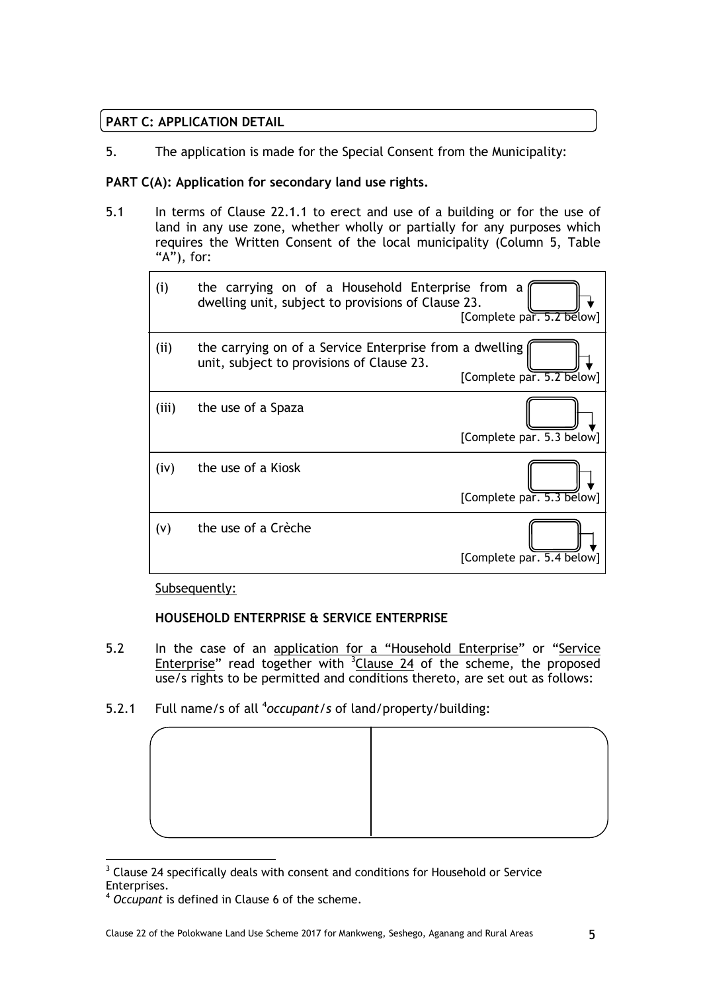## **PART C: APPLICATION DETAIL**

5. The application is made for the Special Consent from the Municipality:

## **PART C(A): Application for secondary land use rights.**

5.1 In terms of Clause 22.1.1 to erect and use of a building or for the use of land in any use zone, whether wholly or partially for any purposes which requires the Written Consent of the local municipality (Column 5, Table " $A$ "), for:

| (i)   | the carrying on of a Household Enterprise from a<br>dwelling unit, subject to provisions of Clause 23. | [Complete par. 5.2 below] |
|-------|--------------------------------------------------------------------------------------------------------|---------------------------|
| (i)   | the carrying on of a Service Enterprise from a dwelling<br>unit, subject to provisions of Clause 23.   | [Complete par. 5.2 below] |
| (iii) | the use of a Spaza                                                                                     | [Complete par. 5.3 below] |
| (iv)  | the use of a Kiosk                                                                                     | [Complete par. 5.3 below] |
| (v)   | the use of a Crèche                                                                                    | [Complete par. 5.4 below] |

## Subsequently:

## **HOUSEHOLD ENTERPRISE & SERVICE ENTERPRISE**

- 5.2 In the case of an application for a "Household Enterprise" or "Service Enterprise" read together with  $3$ Clause 24 of the scheme, the proposed use/s rights to be permitted and conditions thereto, are set out as follows:
- 5.2.1 Full name/s of all <sup>4</sup>occupant/s of land/property/building:



  $3$  Clause 24 specifically deals with consent and conditions for Household or Service Enterprises.

<sup>4</sup> *Occupant* is defined in Clause 6 of the scheme.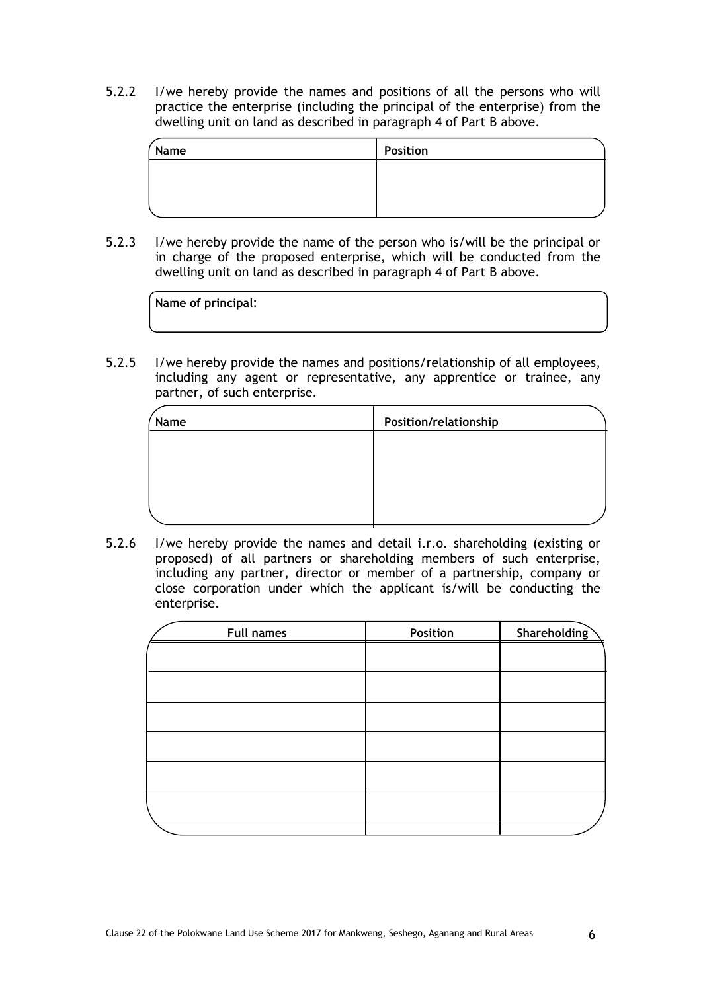5.2.2 I/we hereby provide the names and positions of all the persons who will practice the enterprise (including the principal of the enterprise) from the dwelling unit on land as described in paragraph 4 of Part B above.

| Name | <b>Position</b> |  |
|------|-----------------|--|
|      |                 |  |
|      |                 |  |
|      |                 |  |

5.2.3 I/we hereby provide the name of the person who is/will be the principal or in charge of the proposed enterprise, which will be conducted from the dwelling unit on land as described in paragraph 4 of Part B above.

| Name of principal: |  |  |
|--------------------|--|--|
|                    |  |  |

5.2.5 I/we hereby provide the names and positions/relationship of all employees, including any agent or representative, any apprentice or trainee, any partner, of such enterprise.

| Name | Position/relationship |
|------|-----------------------|
|      |                       |
|      |                       |
|      |                       |
|      |                       |

5.2.6 I/we hereby provide the names and detail i.r.o. shareholding (existing or proposed) of all partners or shareholding members of such enterprise, including any partner, director or member of a partnership, company or close corporation under which the applicant is/will be conducting the enterprise.

| <b>Full names</b> | Position | Shareholding |
|-------------------|----------|--------------|
|                   |          |              |
|                   |          |              |
|                   |          |              |
|                   |          |              |
|                   |          |              |
|                   |          |              |
|                   |          |              |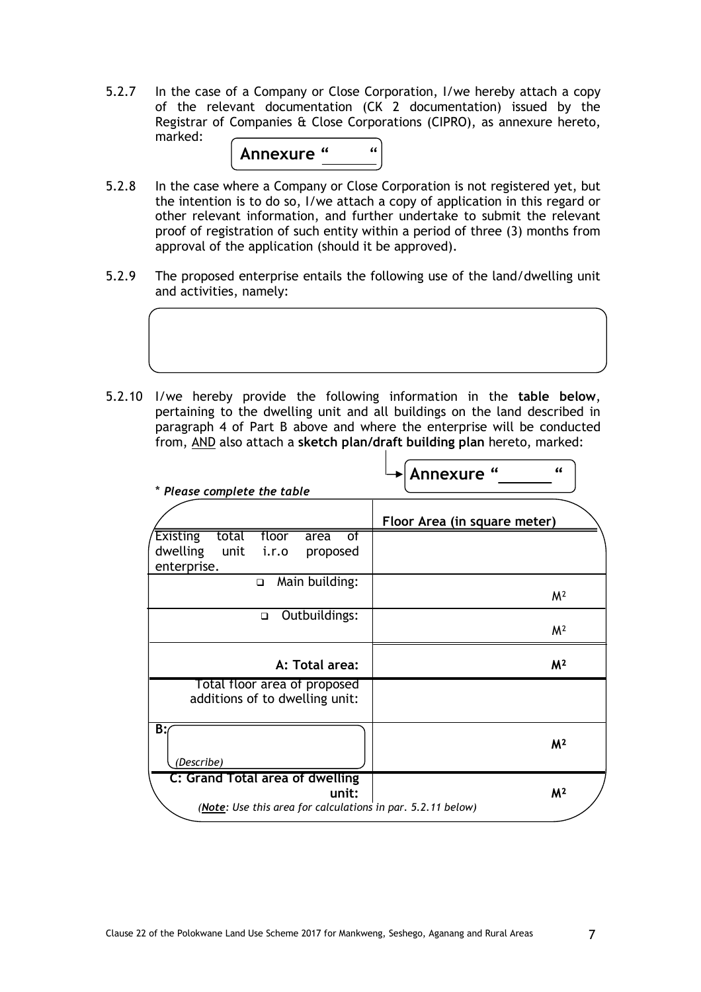5.2.7 In the case of a Company or Close Corporation, I/we hereby attach a copy of the relevant documentation (CK 2 documentation) issued by the Registrar of Companies & Close Corporations (CIPRO), as annexure hereto, marked:



- 5.2.8 In the case where a Company or Close Corporation is not registered yet, but the intention is to do so, I/we attach a copy of application in this regard or other relevant information, and further undertake to submit the relevant proof of registration of such entity within a period of three (3) months from approval of the application (should it be approved).
- 5.2.9 The proposed enterprise entails the following use of the land/dwelling unit and activities, namely:



 $\mathbf{I}$ 

5.2.10 I/we hereby provide the following information in the **table below**, pertaining to the dwelling unit and all buildings on the land described in paragraph 4 of Part B above and where the enterprise will be conducted from, AND also attach a **sketch plan/draft building plan** hereto, marked:

|                                                                                                         | $\epsilon$<br>Annexure "     |
|---------------------------------------------------------------------------------------------------------|------------------------------|
| * Please complete the table                                                                             |                              |
|                                                                                                         | Floor Area (in square meter) |
| <b>Existing</b><br>total<br>floor<br>of<br>area<br>dwelling<br>unit<br>i.r.o<br>proposed<br>enterprise. |                              |
| Main building:<br>$\Box$                                                                                | M <sup>2</sup>               |
| Outbuildings:<br>$\Box$                                                                                 | M <sup>2</sup>               |
| A: Total area:                                                                                          | M <sup>2</sup>               |
| Total floor area of proposed<br>additions of to dwelling unit:                                          |                              |
| B:<br>(Describe)                                                                                        | M <sup>2</sup>               |
| C: Grand Total area of dwelling                                                                         |                              |
| unit:<br>(Note: Use this area for calculations in par. 5.2.11 below)                                    | M <sup>2</sup>               |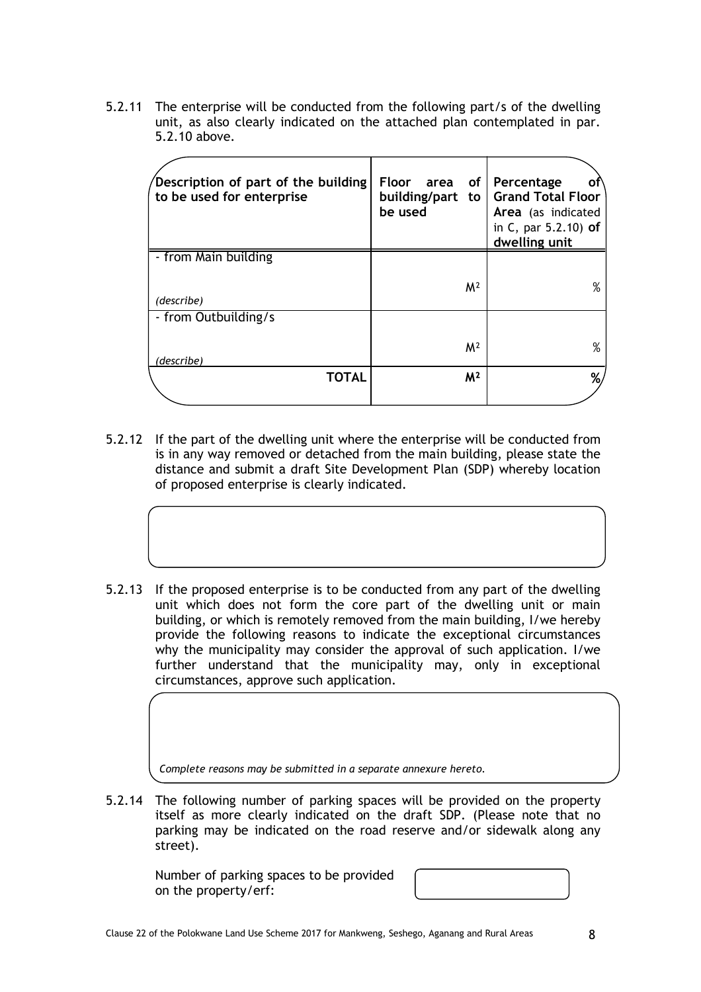5.2.11 The enterprise will be conducted from the following part/s of the dwelling unit, as also clearly indicated on the attached plan contemplated in par. 5.2.10 above.

| Description of part of the building<br>to be used for enterprise | Floor area of<br>building/part to<br>be used | Percentage<br>Οt<br><b>Grand Total Floor</b><br>Area (as indicated<br>in C, par 5.2.10) of<br>dwelling unit |
|------------------------------------------------------------------|----------------------------------------------|-------------------------------------------------------------------------------------------------------------|
| - from Main building                                             |                                              |                                                                                                             |
| (describe)                                                       | M <sup>2</sup>                               | $\%$                                                                                                        |
| - from Outbuilding/s                                             |                                              |                                                                                                             |
| (describe)                                                       | M <sup>2</sup>                               | $\%$                                                                                                        |
| <b>TOTAL</b>                                                     | M <sup>2</sup>                               | %,                                                                                                          |

- 5.2.12 If the part of the dwelling unit where the enterprise will be conducted from is in any way removed or detached from the main building, please state the distance and submit a draft Site Development Plan (SDP) whereby location of proposed enterprise is clearly indicated.
- 5.2.13 If the proposed enterprise is to be conducted from any part of the dwelling unit which does not form the core part of the dwelling unit or main building, or which is remotely removed from the main building, I/we hereby provide the following reasons to indicate the exceptional circumstances why the municipality may consider the approval of such application. I/we further understand that the municipality may, only in exceptional circumstances, approve such application.

*Complete reasons may be submitted in a separate annexure hereto.*

5.2.14 The following number of parking spaces will be provided on the property itself as more clearly indicated on the draft SDP. (Please note that no parking may be indicated on the road reserve and/or sidewalk along any street).

Number of parking spaces to be provided on the property/erf:

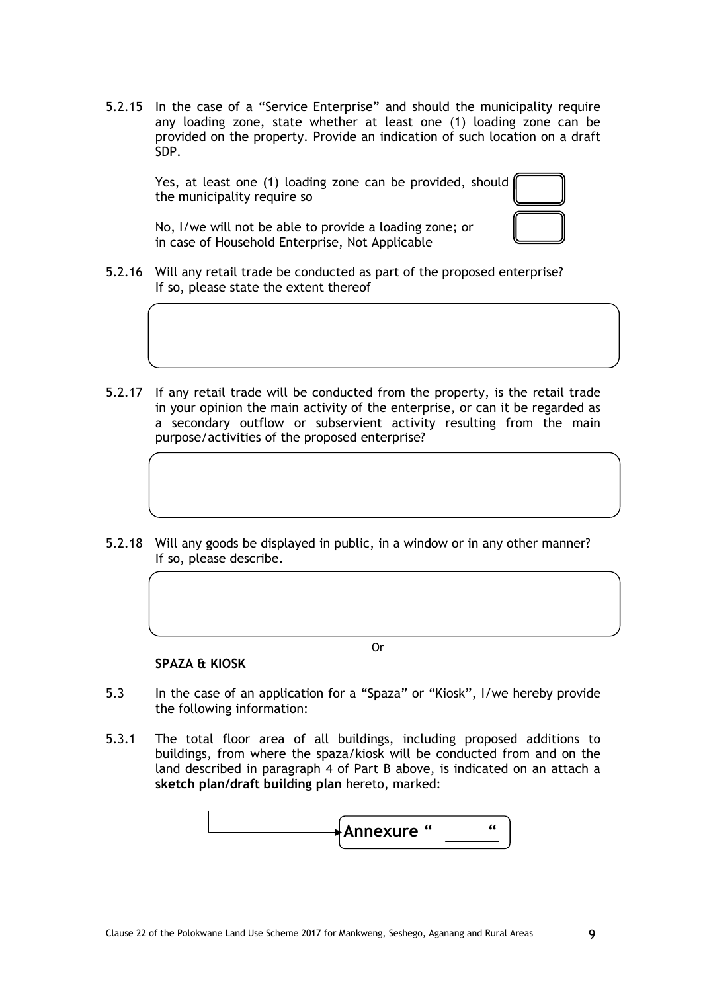5.2.15 In the case of a "Service Enterprise" and should the municipality require any loading zone, state whether at least one (1) loading zone can be provided on the property. Provide an indication of such location on a draft SDP.

Yes, at least one (1) loading zone can be provided, should the municipality require so

No, I/we will not be able to provide a loading zone; or in case of Household Enterprise, Not Applicable

- 5.2.16 Will any retail trade be conducted as part of the proposed enterprise? If so, please state the extent thereof
- 5.2.17 If any retail trade will be conducted from the property, is the retail trade in your opinion the main activity of the enterprise, or can it be regarded as a secondary outflow or subservient activity resulting from the main purpose/activities of the proposed enterprise?
- 5.2.18 Will any goods be displayed in public, in a window or in any other manner? If so, please describe.

Or

#### **SPAZA & KIOSK**

 $\overline{a}$ 

- 5.3 In the case of an application for a "Spaza" or "Kiosk", I/we hereby provide the following information:
- 5.3.1 The total floor area of all buildings, including proposed additions to buildings, from where the spaza/kiosk will be conducted from and on the land described in paragraph 4 of Part B above, is indicated on an attach a **sketch plan/draft building plan** hereto, marked:

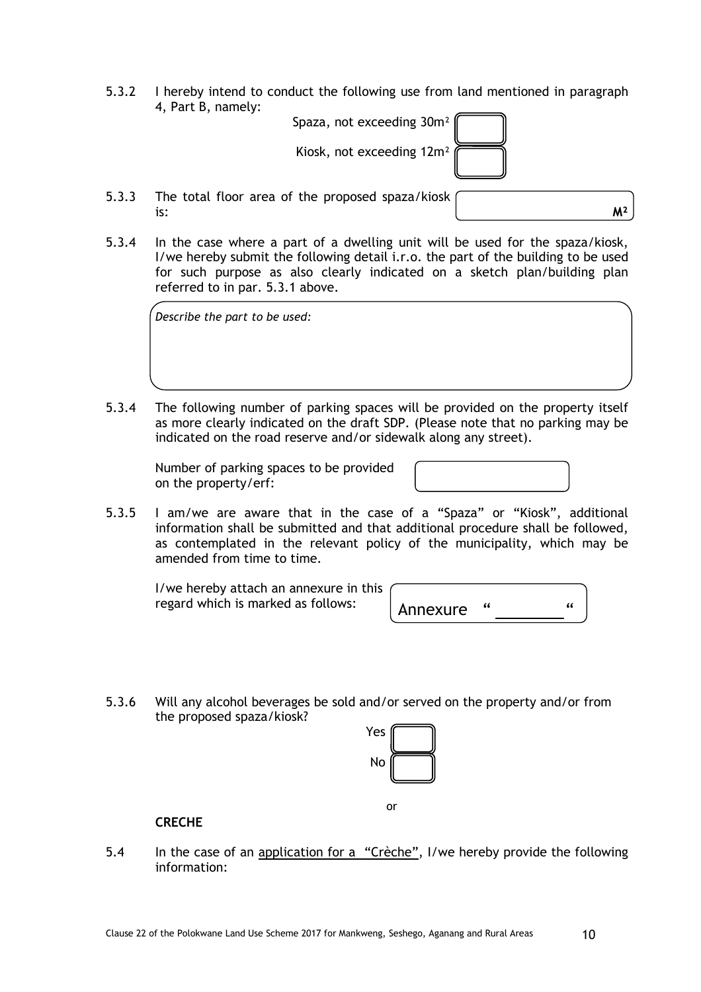5.3.2 I hereby intend to conduct the following use from land mentioned in paragraph 4, Part B, namely:

Spaza, not exceeding 30m² Kiosk, not exceeding 12m²

5.3.3 The total floor area of the proposed spaza/kiosk is:  $M^2$ 

5.3.4 In the case where a part of a dwelling unit will be used for the spaza/kiosk, I/we hereby submit the following detail i.r.o. the part of the building to be used for such purpose as also clearly indicated on a sketch plan/building plan referred to in par. 5.3.1 above.

*Describe the part to be used:*

5.3.4 The following number of parking spaces will be provided on the property itself as more clearly indicated on the draft SDP. (Please note that no parking may be indicated on the road reserve and/or sidewalk along any street).

Number of parking spaces to be provided on the property/erf:

5.3.5 I am/we are aware that in the case of a "Spaza" or "Kiosk", additional information shall be submitted and that additional procedure shall be followed, as contemplated in the relevant policy of the municipality, which may be amended from time to time.

I/we hereby attach an annexure in this regard which is marked as follows:

| Annexure |  |
|----------|--|

5.3.6 Will any alcohol beverages be sold and/or served on the property and/or from the proposed spaza/kiosk?

| es |  |
|----|--|
| No |  |
|    |  |

or

**CRECHE** 

5.4 In the case of an application for a "Crèche", I/we hereby provide the following information: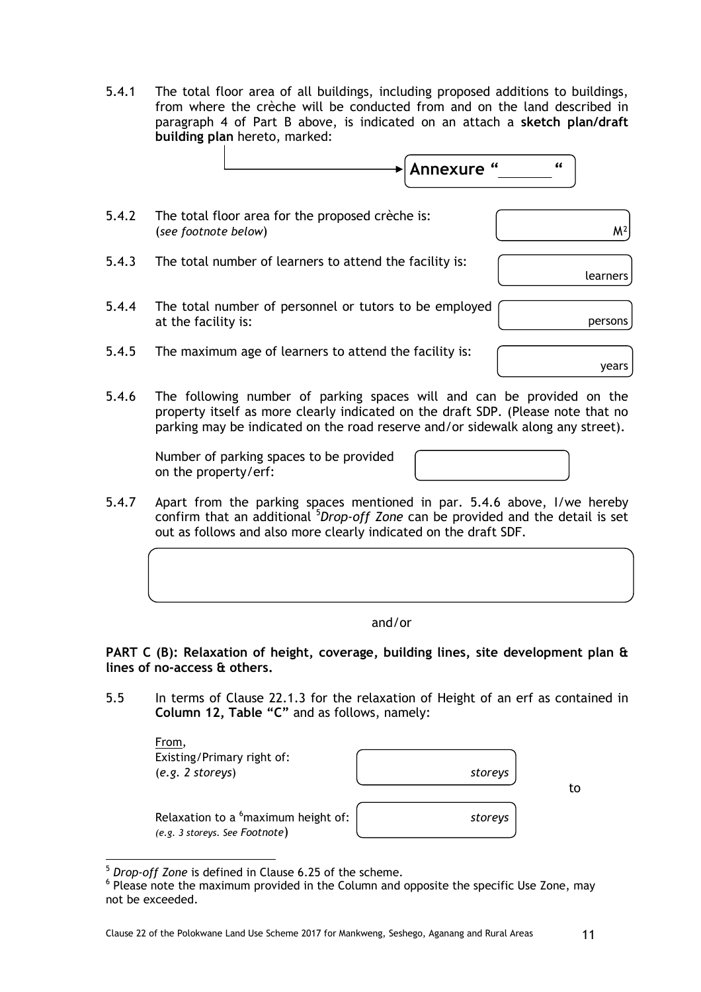5.4.1 The total floor area of all buildings, including proposed additions to buildings, from where the crèche will be conducted from and on the land described in paragraph 4 of Part B above, is indicated on an attach a **sketch plan/draft building plan** hereto, marked:



- 5.4.2 The total floor area for the proposed crèche is: (*see footnote below*) and  $M^2$
- 5.4.3 The total number of learners to attend the facility is:
- 5.4.4 The total number of personnel or tutors to be employed at the facility is: persons
- 5.4.5 The maximum age of learners to attend the facility is:

years

learners

5.4.6 The following number of parking spaces will and can be provided on the property itself as more clearly indicated on the draft SDP. (Please note that no parking may be indicated on the road reserve and/or sidewalk along any street).

Number of parking spaces to be provided on the property/erf:

5.4.7 Apart from the parking spaces mentioned in par. 5.4.6 above, I/we hereby confirm that an additional <sup>5</sup>Drop-off Zone can be provided and the detail is set out as follows and also more clearly indicated on the draft SDF.

and/or

**PART C (B): Relaxation of height, coverage, building lines, site development plan & lines of no-access & others.**

5.5 In terms of Clause 22.1.3 for the relaxation of Height of an erf as contained in **Column 12, Table "C"** and as follows, namely:

| From,<br>Existing/Primary right of:<br>(e.g. 2 stores)                            | storeys |
|-----------------------------------------------------------------------------------|---------|
| Relaxation to a <sup>6</sup> maximum height of:<br>(e.g. 3 storeys. See Footnote) | storeys |

to

<sup>5</sup> *Drop-off Zone* is defined in Clause 6.25 of the scheme.

 $<sup>6</sup>$  Please note the maximum provided in the Column and opposite the specific Use Zone, may</sup> not be exceeded.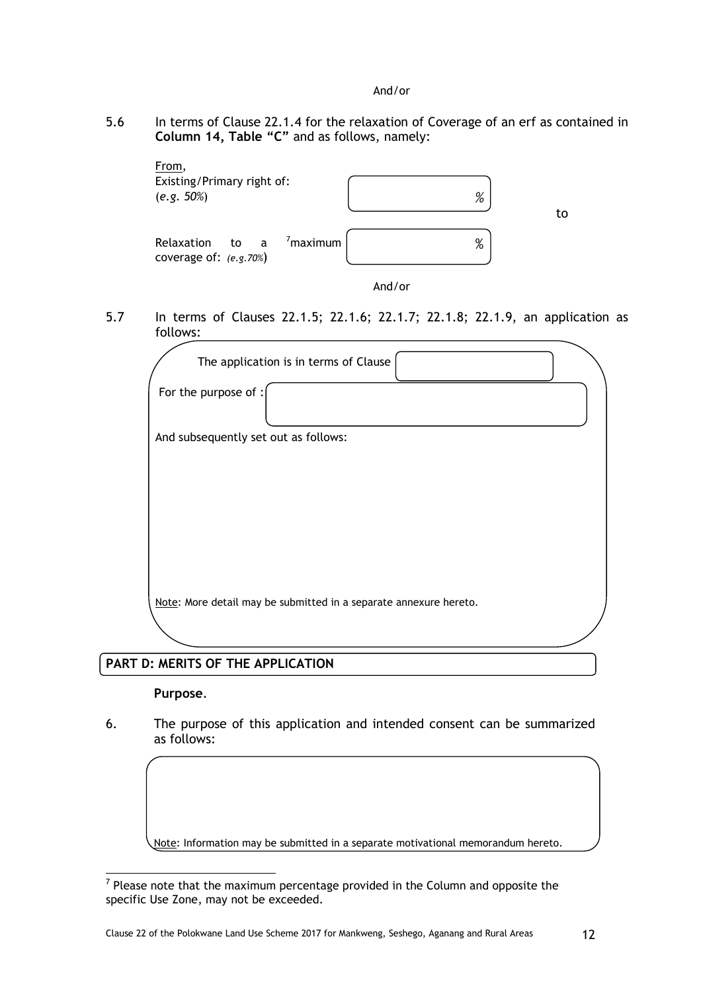#### And/or

5.6 In terms of Clause 22.1.4 for the relaxation of Coverage of an erf as contained in **Column 14, Table "C"** and as follows, namely:



And/or

5.7 In terms of Clauses 22.1.5; 22.1.6; 22.1.7; 22.1.8; 22.1.9, an application as follows:

| The application is in terms of Clause                             |  |
|-------------------------------------------------------------------|--|
| For the purpose of :                                              |  |
| And subsequently set out as follows:                              |  |
|                                                                   |  |
|                                                                   |  |
|                                                                   |  |
|                                                                   |  |
| Note: More detail may be submitted in a separate annexure hereto. |  |
|                                                                   |  |
|                                                                   |  |

## **PART D: MERITS OF THE APPLICATION**

## **Purpose**.

6. The purpose of this application and intended consent can be summarized as follows:

Note: Information may be submitted in a separate motivational memorandum hereto.

 7 Please note that the maximum percentage provided in the Column and opposite the specific Use Zone, may not be exceeded.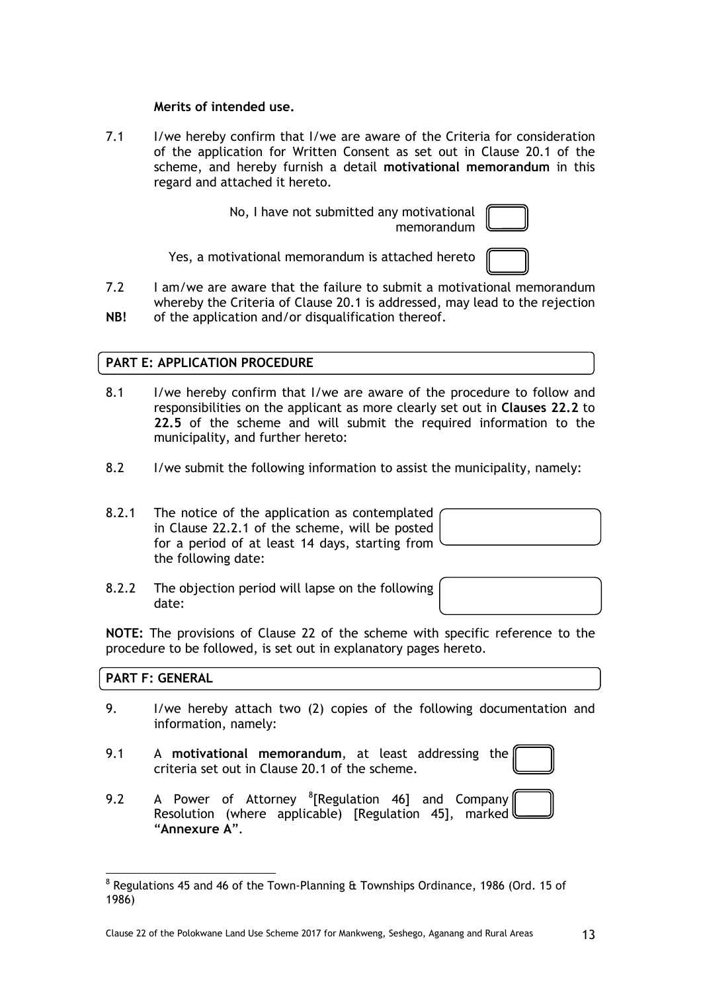#### **Merits of intended use.**

7.1 I/we hereby confirm that I/we are aware of the Criteria for consideration of the application for Written Consent as set out in Clause 20.1 of the scheme, and hereby furnish a detail **motivational memorandum** in this regard and attached it hereto.

> No, I have not submitted any motivational memorandum

Yes, a motivational memorandum is attached hereto

7.2 **NB!**  I am/we are aware that the failure to submit a motivational memorandum whereby the Criteria of Clause 20.1 is addressed, may lead to the rejection of the application and/or disqualification thereof.

## **PART E: APPLICATION PROCEDURE**

- 8.1 I/we hereby confirm that I/we are aware of the procedure to follow and responsibilities on the applicant as more clearly set out in **Clauses 22.2** to **22.5** of the scheme and will submit the required information to the municipality, and further hereto:
- 8.2 I/we submit the following information to assist the municipality, namely:
- 8.2.1 The notice of the application as contemplated in Clause 22.2.1 of the scheme, will be posted for a period of at least 14 days, starting from the following date:

8.2.2 The objection period will lapse on the following

**NOTE:** The provisions of Clause 22 of the scheme with specific reference to the procedure to be followed, is set out in explanatory pages hereto.

## **PART F: GENERAL**

date:

- 9. I/we hereby attach two (2) copies of the following documentation and information, namely:
- 9.1 A **motivational memorandum**, at least addressing the criteria set out in Clause 20.1 of the scheme.
- 9.2 A Power of Attorney <sup>8</sup>[Regulation 46] and Company Resolution (where applicable) [Regulation 45], marked l "**Annexure A**".

  $^8$  Regulations 45 and 46 of the Town-Planning  $\rm{\textup{ft}}$  Townships Ordinance, 1986 (Ord. 15 of 1986)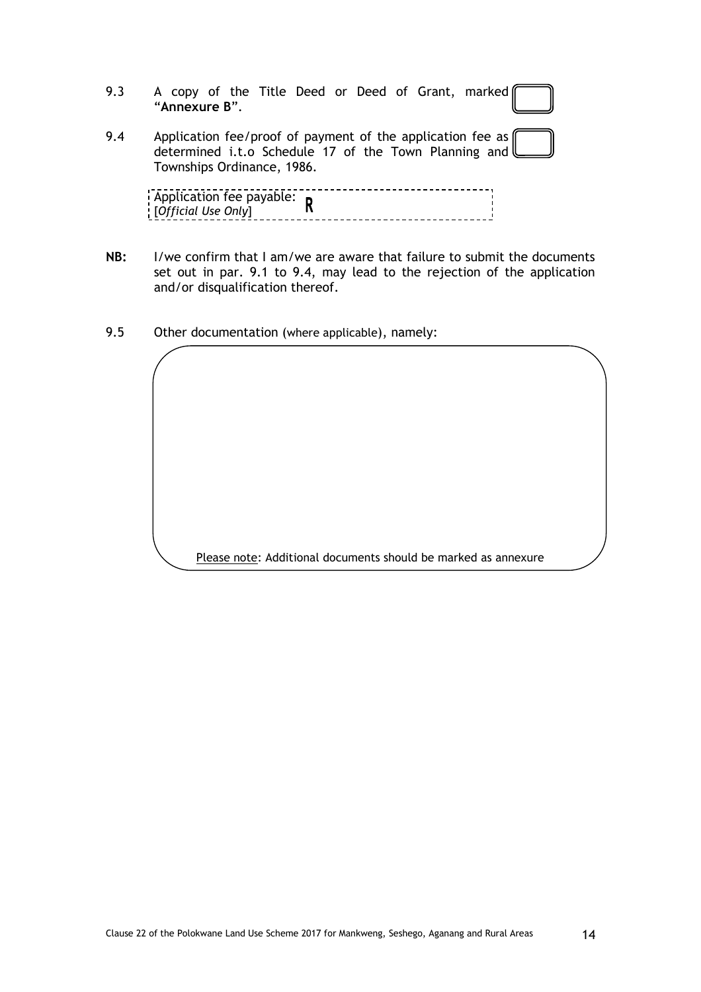|            | 9.3 A copy of the Title Deed or Deed of Grant, marked<br>"Annexure B". |  |
|------------|------------------------------------------------------------------------|--|
| $Q \Delta$ | Application fee/proof of payment of the application fee as             |  |

9.4 Application fee/proof of payment of the application fee as determined i.t.o Schedule 17 of the Town Planning and Townships Ordinance, 1986.

| Application fee payable: $\mathsf{n}$ |  |
|---------------------------------------|--|
|                                       |  |
| [Official Use Only]                   |  |
|                                       |  |
|                                       |  |

- **NB:** I/we confirm that I am/we are aware that failure to submit the documents set out in par. 9.1 to 9.4, may lead to the rejection of the application and/or disqualification thereof.
- 9.5 Other documentation (where applicable), namely:

Please note: Additional documents should be marked as annexure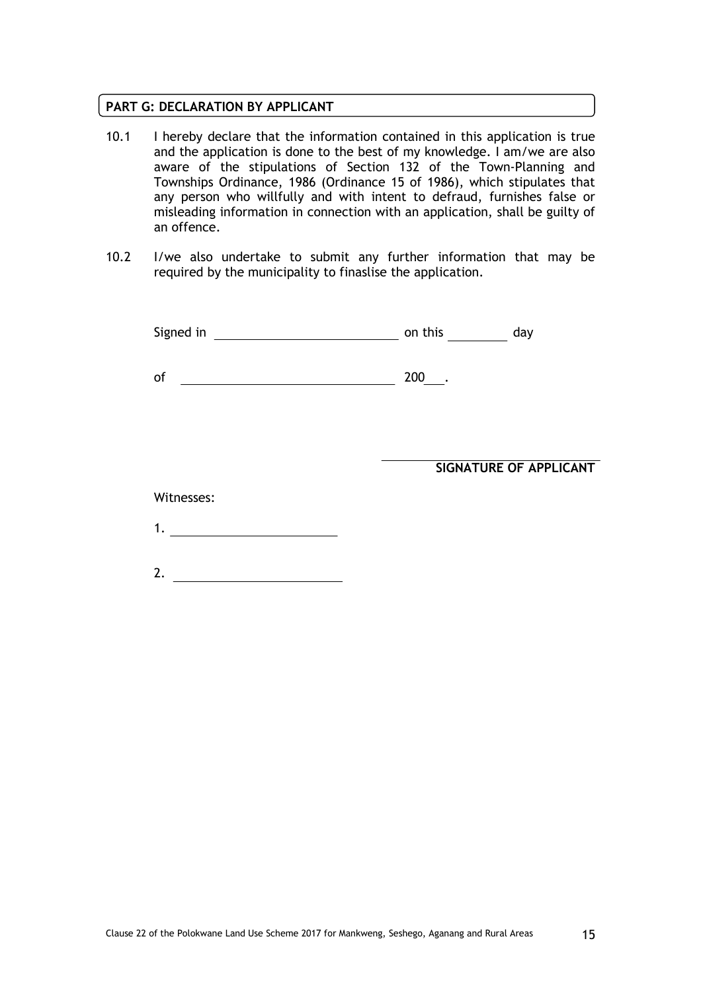#### **PART G: DECLARATION BY APPLICANT**

- 10.1 I hereby declare that the information contained in this application is true and the application is done to the best of my knowledge. I am/we are also aware of the stipulations of Section 132 of the Town-Planning and Townships Ordinance, 1986 (Ordinance 15 of 1986), which stipulates that any person who willfully and with intent to defraud, furnishes false or misleading information in connection with an application, shall be guilty of an offence.
- 10.2 I/we also undertake to submit any further information that may be required by the municipality to finaslise the application.

| Signed in | on this |  |  |
|-----------|---------|--|--|
|           |         |  |  |

of 200 .

**SIGNATURE OF APPLICANT**

Witnesses:

| ,一个人的人都是一个人的人,一个人的人都是一个人的人,一个人的人都是一个人的人,一个人的人都是一个人的人,一个人的人,一个人的人,一个人的人,一个人的人,一个人 |  |
|----------------------------------------------------------------------------------|--|

2.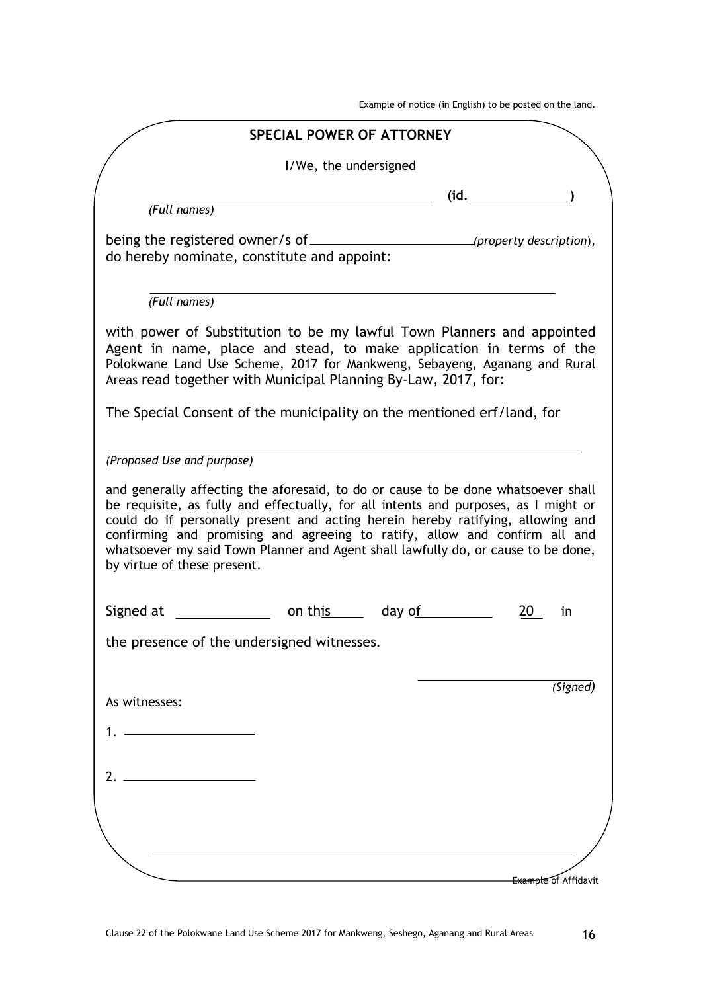Example of notice (in English) to be posted on the land.

|                                                                                                                                                                                                                                                                                                                                                                                                                                                               | <b>SPECIAL POWER OF ATTORNEY</b> |                |                                          |
|---------------------------------------------------------------------------------------------------------------------------------------------------------------------------------------------------------------------------------------------------------------------------------------------------------------------------------------------------------------------------------------------------------------------------------------------------------------|----------------------------------|----------------|------------------------------------------|
|                                                                                                                                                                                                                                                                                                                                                                                                                                                               | I/We, the undersigned            |                |                                          |
| (Full names)                                                                                                                                                                                                                                                                                                                                                                                                                                                  |                                  |                | (id.                                     |
| do hereby nominate, constitute and appoint:                                                                                                                                                                                                                                                                                                                                                                                                                   |                                  |                | $\hspace{1.5cm}$ (property description), |
| (Full names)                                                                                                                                                                                                                                                                                                                                                                                                                                                  |                                  |                |                                          |
| with power of Substitution to be my lawful Town Planners and appointed<br>Agent in name, place and stead, to make application in terms of the<br>Polokwane Land Use Scheme, 2017 for Mankweng, Sebayeng, Aganang and Rural<br>Areas read together with Municipal Planning By-Law, 2017, for:                                                                                                                                                                  |                                  |                |                                          |
| The Special Consent of the municipality on the mentioned erf/land, for                                                                                                                                                                                                                                                                                                                                                                                        |                                  |                |                                          |
| (Proposed Use and purpose)                                                                                                                                                                                                                                                                                                                                                                                                                                    |                                  |                |                                          |
| and generally affecting the aforesaid, to do or cause to be done whatsoever shall<br>be requisite, as fully and effectually, for all intents and purposes, as I might or<br>could do if personally present and acting herein hereby ratifying, allowing and<br>confirming and promising and agreeing to ratify, allow and confirm all and<br>whatsoever my said Town Planner and Agent shall lawfully do, or cause to be done,<br>by virtue of these present. |                                  |                |                                          |
|                                                                                                                                                                                                                                                                                                                                                                                                                                                               |                                  |                |                                          |
|                                                                                                                                                                                                                                                                                                                                                                                                                                                               |                                  | on this day of | 20<br>in                                 |
|                                                                                                                                                                                                                                                                                                                                                                                                                                                               |                                  |                |                                          |
|                                                                                                                                                                                                                                                                                                                                                                                                                                                               |                                  |                |                                          |
|                                                                                                                                                                                                                                                                                                                                                                                                                                                               |                                  |                | (Signed)                                 |
|                                                                                                                                                                                                                                                                                                                                                                                                                                                               |                                  |                |                                          |
|                                                                                                                                                                                                                                                                                                                                                                                                                                                               |                                  |                |                                          |
| Signed at<br>the presence of the undersigned witnesses.<br>As witnesses:<br>$7_{\odot}$                                                                                                                                                                                                                                                                                                                                                                       |                                  |                |                                          |
|                                                                                                                                                                                                                                                                                                                                                                                                                                                               |                                  |                |                                          |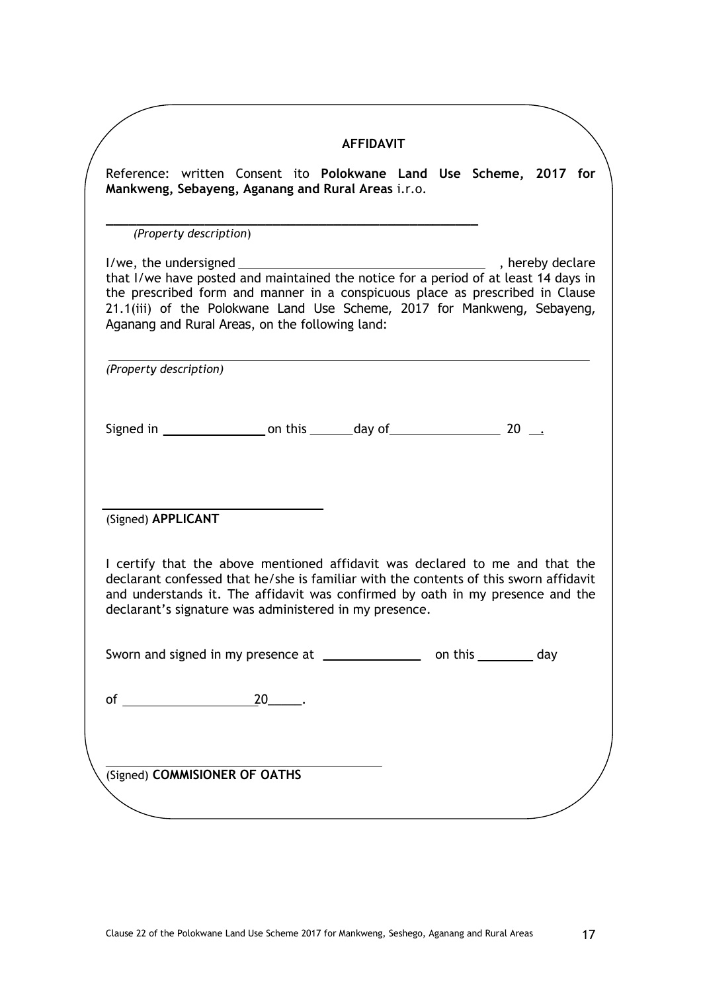|                        |                               |                                                 | <b>AFFIDAVIT</b>                                                                                                                                                                                                                                                                                                  |                         |  |
|------------------------|-------------------------------|-------------------------------------------------|-------------------------------------------------------------------------------------------------------------------------------------------------------------------------------------------------------------------------------------------------------------------------------------------------------------------|-------------------------|--|
|                        |                               |                                                 | Reference: written Consent ito Polokwane Land Use Scheme, 2017 for<br>Mankweng, Sebayeng, Aganang and Rural Areas i.r.o.                                                                                                                                                                                          |                         |  |
|                        | (Property description)        |                                                 |                                                                                                                                                                                                                                                                                                                   |                         |  |
|                        |                               | Aganang and Rural Areas, on the following land: | that I/we have posted and maintained the notice for a period of at least 14 days in<br>the prescribed form and manner in a conspicuous place as prescribed in Clause<br>21.1(iii) of the Polokwane Land Use Scheme, 2017 for Mankweng, Sebayeng,                                                                  |                         |  |
| (Property description) |                               |                                                 |                                                                                                                                                                                                                                                                                                                   |                         |  |
|                        |                               |                                                 |                                                                                                                                                                                                                                                                                                                   |                         |  |
| (Signed) APPLICANT     |                               |                                                 |                                                                                                                                                                                                                                                                                                                   |                         |  |
|                        |                               |                                                 | I certify that the above mentioned affidavit was declared to me and that the<br>declarant confessed that he/she is familiar with the contents of this sworn affidavit<br>and understands it. The affidavit was confirmed by oath in my presence and the<br>declarant's signature was administered in my presence. |                         |  |
|                        |                               |                                                 | Sworn and signed in my presence at <b>with the system of the Sworn and Signed</b> in my presence at                                                                                                                                                                                                               | on this ___________ day |  |
|                        |                               |                                                 |                                                                                                                                                                                                                                                                                                                   |                         |  |
|                        |                               |                                                 |                                                                                                                                                                                                                                                                                                                   |                         |  |
|                        | (Signed) COMMISIONER OF OATHS |                                                 |                                                                                                                                                                                                                                                                                                                   |                         |  |
|                        |                               |                                                 |                                                                                                                                                                                                                                                                                                                   |                         |  |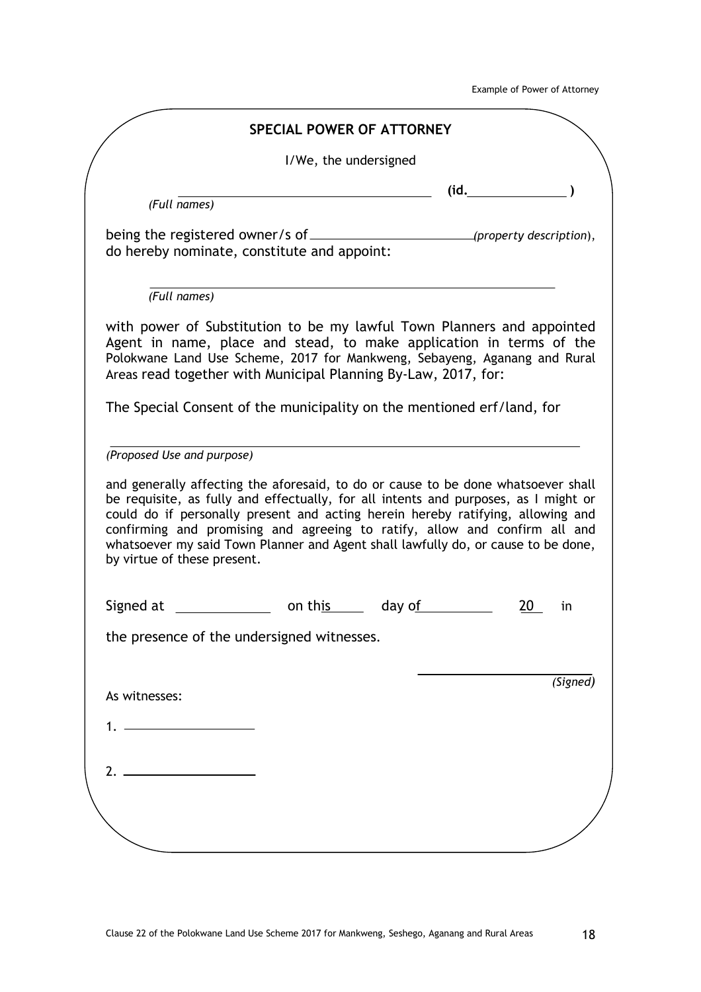Example of Power of Attorney

|                                                                                                                                                                                                                                                                                                                                                                                                                                                               | <b>SPECIAL POWER OF ATTORNEY</b> |        |      |          |
|---------------------------------------------------------------------------------------------------------------------------------------------------------------------------------------------------------------------------------------------------------------------------------------------------------------------------------------------------------------------------------------------------------------------------------------------------------------|----------------------------------|--------|------|----------|
|                                                                                                                                                                                                                                                                                                                                                                                                                                                               | I/We, the undersigned            |        |      |          |
| (Full names)                                                                                                                                                                                                                                                                                                                                                                                                                                                  |                                  |        | (id. |          |
|                                                                                                                                                                                                                                                                                                                                                                                                                                                               |                                  |        |      |          |
| do hereby nominate, constitute and appoint:                                                                                                                                                                                                                                                                                                                                                                                                                   |                                  |        |      |          |
| (Full names)                                                                                                                                                                                                                                                                                                                                                                                                                                                  |                                  |        |      |          |
| with power of Substitution to be my lawful Town Planners and appointed<br>Agent in name, place and stead, to make application in terms of the<br>Polokwane Land Use Scheme, 2017 for Mankweng, Sebayeng, Aganang and Rural<br>Areas read together with Municipal Planning By-Law, 2017, for:                                                                                                                                                                  |                                  |        |      |          |
| The Special Consent of the municipality on the mentioned erf/land, for                                                                                                                                                                                                                                                                                                                                                                                        |                                  |        |      |          |
| (Proposed Use and purpose)                                                                                                                                                                                                                                                                                                                                                                                                                                    |                                  |        |      |          |
| and generally affecting the aforesaid, to do or cause to be done whatsoever shall<br>be requisite, as fully and effectually, for all intents and purposes, as I might or<br>could do if personally present and acting herein hereby ratifying, allowing and<br>confirming and promising and agreeing to ratify, allow and confirm all and<br>whatsoever my said Town Planner and Agent shall lawfully do, or cause to be done,<br>by virtue of these present. |                                  |        |      |          |
|                                                                                                                                                                                                                                                                                                                                                                                                                                                               |                                  |        |      |          |
|                                                                                                                                                                                                                                                                                                                                                                                                                                                               | on this                          | day of |      | in       |
|                                                                                                                                                                                                                                                                                                                                                                                                                                                               |                                  |        |      |          |
|                                                                                                                                                                                                                                                                                                                                                                                                                                                               |                                  |        |      | (Signed) |
| Signed at<br>the presence of the undersigned witnesses.<br>As witnesses:                                                                                                                                                                                                                                                                                                                                                                                      |                                  |        |      |          |
|                                                                                                                                                                                                                                                                                                                                                                                                                                                               |                                  |        |      |          |
|                                                                                                                                                                                                                                                                                                                                                                                                                                                               |                                  |        |      |          |
| $2.$ $\overline{\phantom{a}}$                                                                                                                                                                                                                                                                                                                                                                                                                                 |                                  |        |      |          |